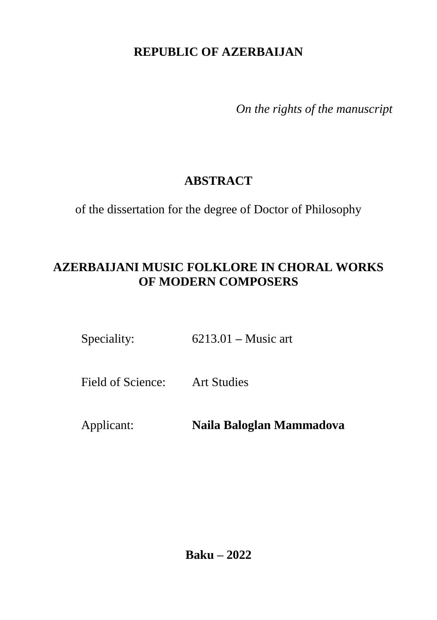# **REPUBLIC OF AZERBAIJAN**

*On the rights of the manuscript*

# **ABSTRACT**

of the dissertation for the degree of Doctor of Philosophy

# **AZERBAIJANI MUSIC FOLKLORE IN CHORAL WORKS OF MODERN COMPOSERS**

Speciality: 6213.01 – Music art

Field of Science: Art Studies

Applicant: **Naila Baloglan Mammadova**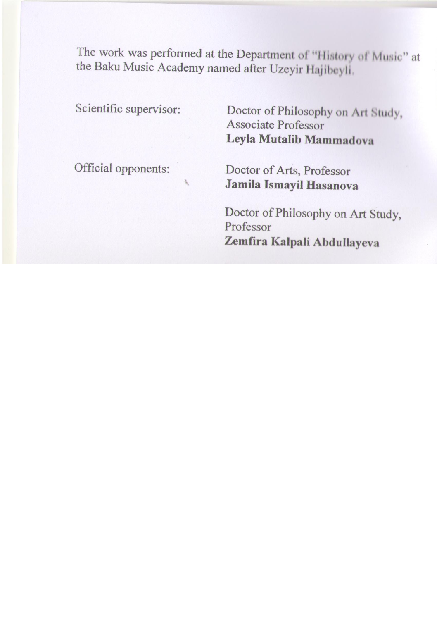The work was performed at the Department of "History of Music" at the Baku Music Academy named after Uzeyir Hajibeyli.

| Scientific supervisor: | Doctor of Philosophy on Art Study,<br>Associate Professor<br>Leyla Mutalib Mammadova    |
|------------------------|-----------------------------------------------------------------------------------------|
| Official opponents:    | Doctor of Arts, Professor<br>Jamila Ismayil Hasanova                                    |
|                        | Doctor of Philosophy on Art Study,<br>Professor<br>Zemfira Kalpali Abdullayeva          |
|                        | Doctor of Philosophy on Art Study,<br><b>Associate Professor</b><br>Leyla Zaki Guliyeva |

Dissertation council FD 2.36 of the Supreme Attestation Commission under the President of the Republic of Azerbaijan operating at the Baku Music Academy named after Uzeyir Hajibeyli.

| Chairman of the                                      | People's Artist, Professor                                                         |
|------------------------------------------------------|------------------------------------------------------------------------------------|
| Dissertation council:                                | <b>Farhad Shamsi Badalbeyli</b>                                                    |
| Scientific secretary of the<br>Dissertation council: | Doctor of Philosophy on Art Study,<br>Associate professor<br>Leyla Ramiz Zohrabova |
| Chairman of the                                      | Doctor of Arts, Professor                                                          |
| scientific seminar:                                  | <b>Imruz Mammad Sadikh Afandiyeva</b>                                              |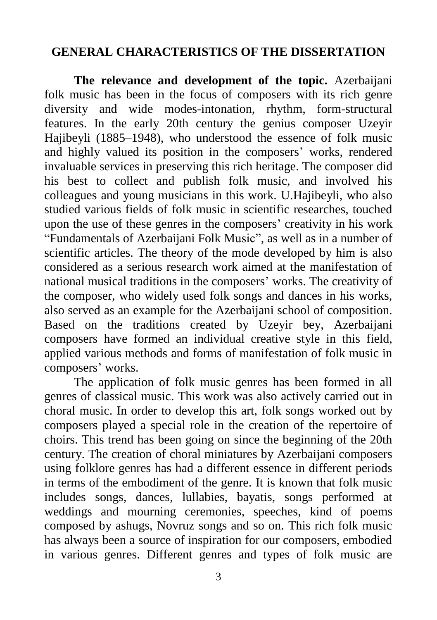### **GENERAL CHARACTERISTICS OF THE DISSERTATION**

**The relevance and development of the topic.** Azerbaijani folk music has been in the focus of composers with its rich genre diversity and wide modes-intonation, rhythm, form-structural features. In the early 20th century the genius composer Uzeyir Hajibeyli (1885–1948), who understood the essence of folk music and highly valued its position in the composers' works, rendered invaluable services in preserving this rich heritage. The composer did his best to collect and publish folk music, and involved his colleagues and young musicians in this work. U.Hajibeyli, who also studied various fields of folk music in scientific researches, touched upon the use of these genres in the composers' creativity in his work "Fundamentals of Azerbaijani Folk Music", as well as in a number of scientific articles. The theory of the mode developed by him is also considered as a serious research work aimed at the manifestation of national musical traditions in the composers' works. The creativity of the composer, who widely used folk songs and dances in his works, also served as an example for the Azerbaijani school of composition. Based on the traditions created by Uzeyir bey, Azerbaijani composers have formed an individual creative style in this field, applied various methods and forms of manifestation of folk music in composers' works.

The application of folk music genres has been formed in all genres of classical music. This work was also actively carried out in choral music. In order to develop this art, folk songs worked out by composers played a special role in the creation of the repertoire of choirs. This trend has been going on since the beginning of the 20th century. The creation of choral miniatures by Azerbaijani composers using folklore genres has had a different essence in different periods in terms of the embodiment of the genre. It is known that folk music includes songs, dances, lullabies, bayatis, songs performed at weddings and mourning ceremonies, speeches, kind of poems composed by ashugs, Novruz songs and so on. This rich folk music has always been a source of inspiration for our composers, embodied in various genres. Different genres and types of folk music are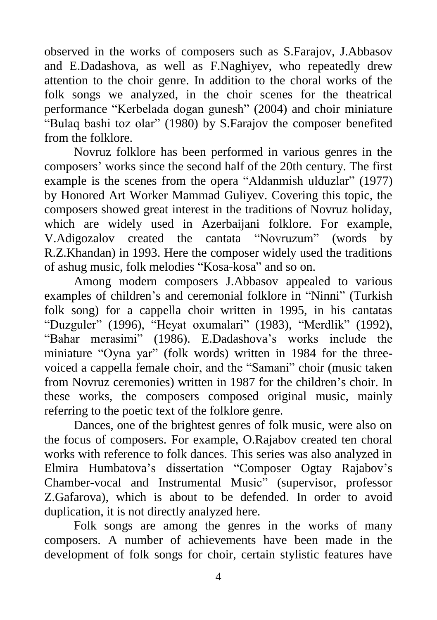observed in the works of composers such as S.Farajov, J.Abbasov and E.Dadashova, as well as F.Naghiyev, who repeatedly drew attention to the choir genre. In addition to the choral works of the folk songs we analyzed, in the choir scenes for the theatrical performance "Kerbelada dogan gunesh" (2004) and choir miniature "Bulaq bashi toz olar" (1980) by S.Farajov the composer benefited from the folklore.

Novruz folklore has been performed in various genres in the composers' works since the second half of the 20th century. The first example is the scenes from the opera "Aldanmish ulduzlar" (1977) by Honored Art Worker Mammad Guliyev. Covering this topic, the composers showed great interest in the traditions of Novruz holiday, which are widely used in Azerbaijani folklore. For example, V.Adigozalov created the cantata "Novruzum" (words by R.Z.Khandan) in 1993. Here the composer widely used the traditions of ashug music, folk melodies "Kosa-kosa" and so on.

Among modern composers J.Abbasov appealed to various examples of children's and ceremonial folklore in "Ninni" (Turkish folk song) for a cappella choir written in 1995, in his cantatas "Duzguler" (1996), "Heyat oxumalari" (1983), "Merdlik" (1992), "Bahar merasimi" (1986). E.Dadashova's works include the miniature "Oyna yar" (folk words) written in 1984 for the threevoiced a cappella female choir, and the "Samani" choir (music taken from Novruz ceremonies) written in 1987 for the children's choir. In these works, the composers composed original music, mainly referring to the poetic text of the folklore genre.

Dances, one of the brightest genres of folk music, were also on the focus of composers. For example, O.Rajabov created ten choral works with reference to folk dances. This series was also analyzed in Elmira Humbatova's dissertation "Composer Ogtay Rajabov's Chamber-vocal and Instrumental Music" (supervisor, professor Z.Gafarova), which is about to be defended. In order to avoid duplication, it is not directly analyzed here.

Folk songs are among the genres in the works of many composers. A number of achievements have been made in the development of folk songs for choir, certain stylistic features have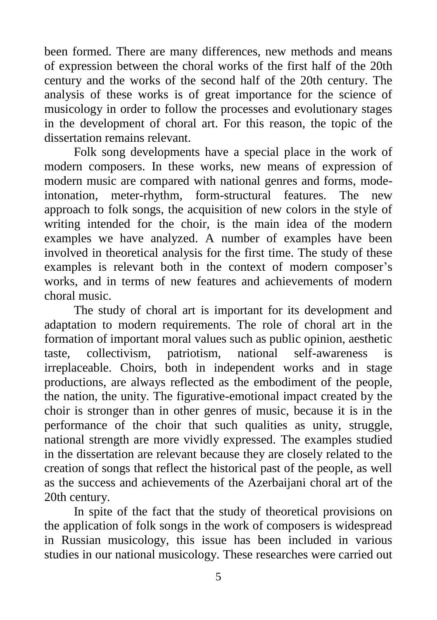been formed. There are many differences, new methods and means of expression between the choral works of the first half of the 20th century and the works of the second half of the 20th century. The analysis of these works is of great importance for the science of musicology in order to follow the processes and evolutionary stages in the development of choral art. For this reason, the topic of the dissertation remains relevant.

Folk song developments have a special place in the work of modern composers. In these works, new means of expression of modern music are compared with national genres and forms, modeintonation, meter-rhythm, form-structural features. The new approach to folk songs, the acquisition of new colors in the style of writing intended for the choir, is the main idea of the modern examples we have analyzed. A number of examples have been involved in theoretical analysis for the first time. The study of these examples is relevant both in the context of modern composer's works, and in terms of new features and achievements of modern choral music.

The study of choral art is important for its development and adaptation to modern requirements. The role of choral art in the formation of important moral values such as public opinion, aesthetic taste, collectivism, patriotism, national self-awareness is irreplaceable. Choirs, both in independent works and in stage productions, are always reflected as the embodiment of the people, the nation, the unity. The figurative-emotional impact created by the choir is stronger than in other genres of music, because it is in the performance of the choir that such qualities as unity, struggle, national strength are more vividly expressed. The examples studied in the dissertation are relevant because they are closely related to the creation of songs that reflect the historical past of the people, as well as the success and achievements of the Azerbaijani choral art of the 20th century.

In spite of the fact that the study of theoretical provisions on the application of folk songs in the work of composers is widespread in Russian musicology, this issue has been included in various studies in our national musicology. These researches were carried out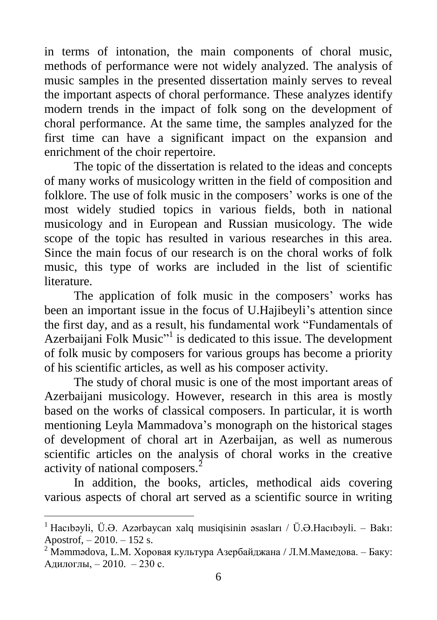in terms of intonation, the main components of choral music, methods of performance were not widely analyzed. The analysis of music samples in the presented dissertation mainly serves to reveal the important aspects of choral performance. These analyzes identify modern trends in the impact of folk song on the development of choral performance. At the same time, the samples analyzed for the first time can have a significant impact on the expansion and enrichment of the choir repertoire.

The topic of the dissertation is related to the ideas and concepts of many works of musicology written in the field of composition and folklore. The use of folk music in the composers' works is one of the most widely studied topics in various fields, both in national musicology and in European and Russian musicology. The wide scope of the topic has resulted in various researches in this area. Since the main focus of our research is on the choral works of folk music, this type of works are included in the list of scientific literature.

The application of folk music in the composers' works has been an important issue in the focus of U.Hajibeyli's attention since the first day, and as a result, his fundamental work "Fundamentals of Azerbaijani Folk Music"<sup>1</sup> is dedicated to this issue. The development of folk music by composers for various groups has become a priority of his scientific articles, as well as his composer activity.

The study of choral music is one of the most important areas of Azerbaijani musicology. However, research in this area is mostly based on the works of classical composers. In particular, it is worth mentioning Leyla Mammadova's monograph on the historical stages of development of choral art in Azerbaijan, as well as numerous scientific articles on the analysis of choral works in the creative activity of national composers.<sup>2</sup>

In addition, the books, articles, methodical aids covering various aspects of choral art served as a scientific source in writing

<sup>&</sup>lt;sup>1</sup> Hacıbəyli, Ü.Ə. Azərbaycan xalq musiqisinin əsasları / Ü.Ə.Hacıbəyli. – Bakı: Apostrof, – 2010. – 152 s.

<sup>&</sup>lt;sup>2</sup> Məmmədova, L.M. Хоровая культура Азербайджана / Л.М.Мамедова. – Баку: Адилоглы, – 2010. – 230 с.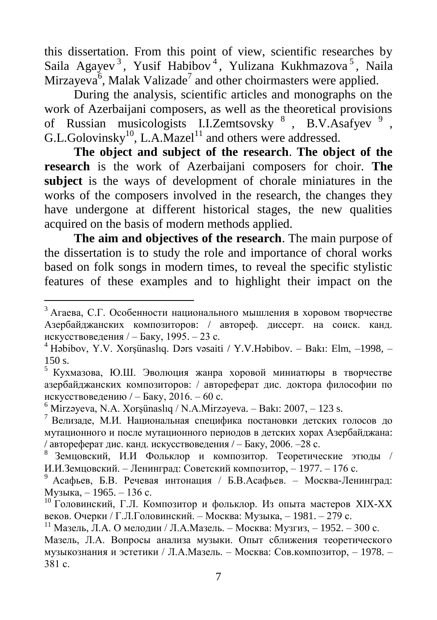this dissertation. From this point of view, scientific researches by Saila Agayev<sup>3</sup>, Yusif Habibov<sup>4</sup>, Yulizana Kukhmazova<sup>5</sup>, Naila Mirzayeva $\delta$ , Malak Valizade<sup>7</sup> and other choirmasters were applied.

During the analysis, scientific articles and monographs on the work of Azerbaijani composers, as well as the theoretical provisions of Russian musicologists I.I.Zemtsovsky<sup>8</sup>, B.V.Asafyev<sup>9</sup>,  $G.L.Golovinsky<sup>10</sup>, L.A.Mazel<sup>11</sup>$  and others were addressed.

**The object and subject of the research**. **The object of the research** is the work of Azerbaijani composers for choir. **The subject** is the ways of development of chorale miniatures in the works of the composers involved in the research, the changes they have undergone at different historical stages, the new qualities acquired on the basis of modern methods applied.

**The aim and objectives of the research**. The main purpose of the dissertation is to study the role and importance of choral works based on folk songs in modern times, to reveal the specific stylistic features of these examples and to highlight their impact on the

 $\overline{a}$ 

 $3$  Агаева, С.Г. Особенности национального мышления в хоровом творчестве Азербайджанских композиторов: / aвтореф. диссерт. на соиск. канд. искусствоведения / – Баку, 1995. – 23 с.

<sup>4</sup> Həbibov, Y.V. Xorşünaslıq. Dərs vəsaiti / Y.V.Həbibov. – Bakı: Elm, –1998, – 150 s.

<sup>5</sup> Кухмазова, Ю.Ш. Эволюция жанра хоровой миниатюры в творчестве азербайджанских композиторов: / aвтореферат дис. доктора философии по искусствоведению / – Баку, 2016. – 60 с.

 $6$  Mirzəyeva, N.A. Xorşünaslıq / N.A.Mirzəyeva. – Bakı: 2007, – 123 s.

<sup>7</sup> Велизаде, М.И. Национальная специфика постановки детских голосов до мутационного и после мутационного периодов в детских хорах Азербайджана: / aвтореферат дис. канд. искусствоведения / – Баку, 2006. –28 с.

<sup>8</sup> Земцовский, И.И Фольклор и композитор. Теоретические этюды / И.И.Земцовский. – Ленинград: Советский композитор, – 1977. – 176 с.

<sup>9</sup> Асафьев, Б.В. Речевая интонация / Б.В.Асафьев. – Москва-Ленинград: Музыка, – 1965. – 136 с.

 $10$  Головинский, Г.Л. Композитор и фольклор. Из опыта мастеров XIX-XX веков. Очерки / Г.Л.Головинский. – Москва: Музыка, – 1981. – 279 с.

<sup>&</sup>lt;sup>11</sup> Мазель, Л.А. О мелодии / Л.А.Мазель. – Москва: Музгиз, – 1952. – 300 с. Мазель, Л.А. Вопросы анализа музыки. Опыт сближения теоретического музыкознания и эстетики / Л.А.Мазель. – Москва: Сов.композитор, – 1978. – 381 с.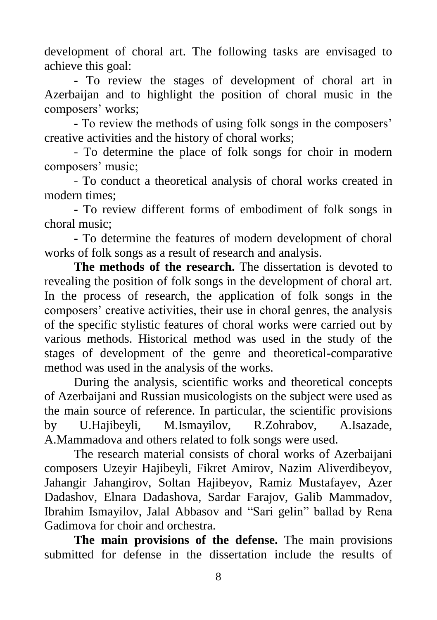development of choral art. The following tasks are envisaged to achieve this goal:

- To review the stages of development of choral art in Azerbaijan and to highlight the position of choral music in the composers' works;

- To review the methods of using folk songs in the composers' creative activities and the history of choral works;

- To determine the place of folk songs for choir in modern composers' music;

- To conduct a theoretical analysis of choral works created in modern times;

- To review different forms of embodiment of folk songs in choral music;

- To determine the features of modern development of choral works of folk songs as a result of research and analysis.

**The methods of the research.** The dissertation is devoted to revealing the position of folk songs in the development of choral art. In the process of research, the application of folk songs in the composers' creative activities, their use in choral genres, the analysis of the specific stylistic features of choral works were carried out by various methods. Historical method was used in the study of the stages of development of the genre and theoretical-comparative method was used in the analysis of the works.

During the analysis, scientific works and theoretical concepts of Azerbaijani and Russian musicologists on the subject were used as the main source of reference. In particular, the scientific provisions by U.Hajibeyli, M.Ismayilov, R.Zohrabov, A.Isazade, A.Mammadova and others related to folk songs were used.

The research material consists of choral works of Azerbaijani composers Uzeyir Hajibeyli, Fikret Amirov, Nazim Aliverdibeyov, Jahangir Jahangirov, Soltan Hajibeyov, Ramiz Mustafayev, Azer Dadashov, Elnara Dadashova, Sardar Farajov, Galib Mammadov, Ibrahim Ismayilov, Jalal Abbasov and "Sari gelin" ballad by Rena Gadimova for choir and orchestra.

**The main provisions of the defense.** The main provisions submitted for defense in the dissertation include the results of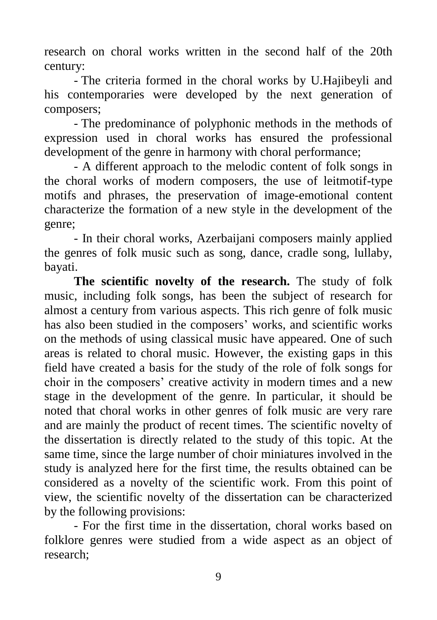research on choral works written in the second half of the 20th century:

- The criteria formed in the choral works by U.Hajibeyli and his contemporaries were developed by the next generation of composers;

- The predominance of polyphonic methods in the methods of expression used in choral works has ensured the professional development of the genre in harmony with choral performance;

- A different approach to the melodic content of folk songs in the choral works of modern composers, the use of leitmotif-type motifs and phrases, the preservation of image-emotional content characterize the formation of a new style in the development of the genre;

- In their choral works, Azerbaijani composers mainly applied the genres of folk music such as song, dance, cradle song, lullaby, bayati.

**The scientific novelty of the research.** The study of folk music, including folk songs, has been the subject of research for almost a century from various aspects. This rich genre of folk music has also been studied in the composers' works, and scientific works on the methods of using classical music have appeared. One of such areas is related to choral music. However, the existing gaps in this field have created a basis for the study of the role of folk songs for choir in the composers' creative activity in modern times and a new stage in the development of the genre. In particular, it should be noted that choral works in other genres of folk music are very rare and are mainly the product of recent times. The scientific novelty of the dissertation is directly related to the study of this topic. At the same time, since the large number of choir miniatures involved in the study is analyzed here for the first time, the results obtained can be considered as a novelty of the scientific work. From this point of view, the scientific novelty of the dissertation can be characterized by the following provisions:

- For the first time in the dissertation, choral works based on folklore genres were studied from a wide aspect as an object of research;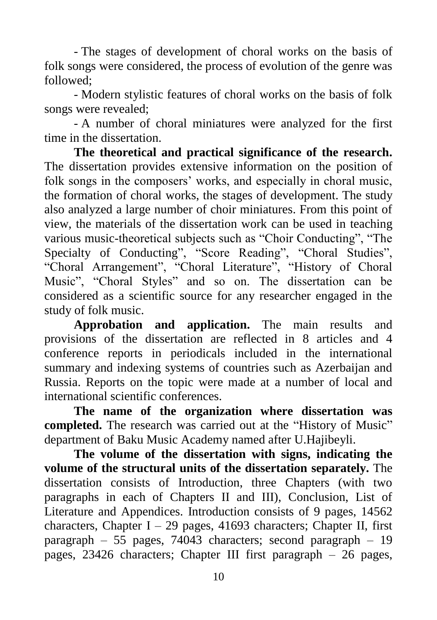- The stages of development of choral works on the basis of folk songs were considered, the process of evolution of the genre was followed;

- Modern stylistic features of choral works on the basis of folk songs were revealed;

- A number of choral miniatures were analyzed for the first time in the dissertation.

**The theoretical and practical significance of the research.**  The dissertation provides extensive information on the position of folk songs in the composers' works, and especially in choral music, the formation of choral works, the stages of development. The study also analyzed a large number of choir miniatures. From this point of view, the materials of the dissertation work can be used in teaching various music-theoretical subjects such as "Choir Conducting", "The Specialty of Conducting", "Score Reading", "Choral Studies", "Choral Arrangement", "Choral Literature", "History of Choral Music", "Choral Styles" and so on. The dissertation can be considered as a scientific source for any researcher engaged in the study of folk music.

**Approbation and application.** The main results and provisions of the dissertation are reflected in 8 articles and 4 conference reports in periodicals included in the international summary and indexing systems of countries such as Azerbaijan and Russia. Reports on the topic were made at a number of local and international scientific conferences.

**The name of the organization where dissertation was completed.** The research was carried out at the "History of Music" department of Baku Music Academy named after U.Hajibeyli.

**The volume of the dissertation with signs, indicating the volume of the structural units of the dissertation separately.** The dissertation consists of Introduction, three Chapters (with two paragraphs in each of Chapters II and III), Conclusion, List of Literature and Appendices. Introduction consists of 9 pages, 14562 characters, Chapter I – 29 pages, 41693 characters; Chapter II, first paragraph – 55 pages, 74043 characters; second paragraph – 19 pages, 23426 characters; Chapter III first paragraph – 26 pages,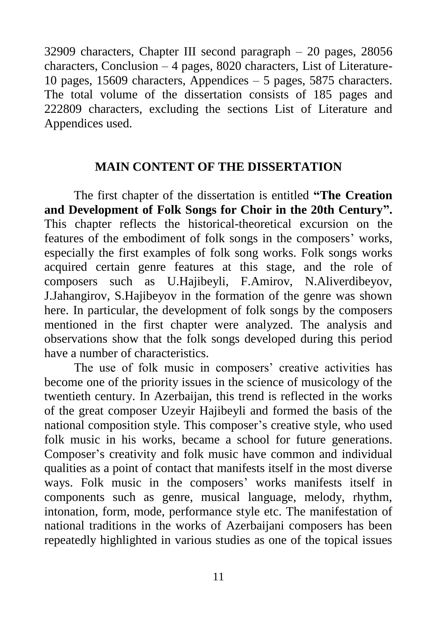32909 characters, Chapter III second paragraph – 20 pages, 28056 characters, Conclusion – 4 pages, 8020 characters, List of Literature-10 pages, 15609 characters, Appendices – 5 pages, 5875 characters. The total volume of the dissertation consists of 185 pages and 222809 characters, excluding the sections List of Literature and Appendices used.

#### **MAIN CONTENT OF THE DISSERTATION**

The first chapter of the dissertation is entitled **"The Creation and Development of Folk Songs for Choir in the 20th Century".** This chapter reflects the historical-theoretical excursion on the features of the embodiment of folk songs in the composers' works, especially the first examples of folk song works. Folk songs works acquired certain genre features at this stage, and the role of composers such as U.Hajibeyli, F.Amirov, N.Aliverdibeyov, J.Jahangirov, S.Hajibeyov in the formation of the genre was shown here. In particular, the development of folk songs by the composers mentioned in the first chapter were analyzed. The analysis and observations show that the folk songs developed during this period have a number of characteristics.

The use of folk music in composers' creative activities has become one of the priority issues in the science of musicology of the twentieth century. In Azerbaijan, this trend is reflected in the works of the great composer Uzeyir Hajibeyli and formed the basis of the national composition style. This composer's creative style, who used folk music in his works, became a school for future generations. Composer's creativity and folk music have common and individual qualities as a point of contact that manifests itself in the most diverse ways. Folk music in the composers' works manifests itself in components such as genre, musical language, melody, rhythm, intonation, form, mode, performance style etc. The manifestation of national traditions in the works of Azerbaijani composers has been repeatedly highlighted in various studies as one of the topical issues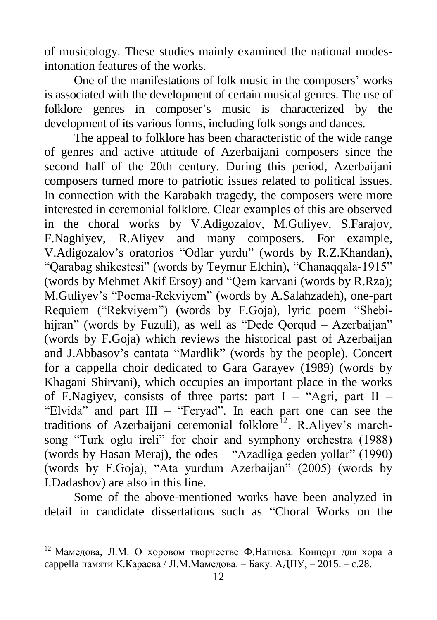of musicology. These studies mainly examined the national modesintonation features of the works.

One of the manifestations of folk music in the composers' works is associated with the development of certain musical genres. The use of folklore genres in composer's music is characterized by the development of its various forms, including folk songs and dances.

The appeal to folklore has been characteristic of the wide range of genres and active attitude of Azerbaijani composers since the second half of the 20th century. During this period, Azerbaijani composers turned more to patriotic issues related to political issues. In connection with the Karabakh tragedy, the composers were more interested in ceremonial folklore. Clear examples of this are observed in the choral works by V.Adigozalov, M.Guliyev, S.Farajov, F.Naghiyev, R.Aliyev and many composers. For example, V.Adigozalov's oratorios "Odlar yurdu" (words by R.Z.Khandan), "Qarabag shikestesi" (words by Teymur Elchin), "Chanaqqala-1915" (words by Mehmet Akif Ersoy) and "Qem karvani (words by R.Rza); M.Guliyev's "Poema-Rekviyem" (words by A.Salahzadeh), one-part Requiem ("Rekviyem") (words by F.Goja), lyric poem "Shebihijran" (words by Fuzuli), as well as "Dede Oorqud – Azerbaijan" (words by F.Goja) which reviews the historical past of Azerbaijan and J.Abbasov's cantata "Mardlik" (words by the people). Concert for a cappella choir dedicated to Gara Garayev (1989) (words by Khagani Shirvani), which occupies an important place in the works of F.Nagiyev, consists of three parts: part  $I - "Agri$ , part  $II -$ "Elvida" and part III – "Feryad". In each part one can see the traditions of Azerbaijani ceremonial folklore<sup>12</sup>. R.Aliyev's marchsong "Turk oglu ireli" for choir and symphony orchestra (1988) (words by Hasan Meraj), the odes – "Azadliga geden yollar" (1990) (words by F.Goja), "Ata yurdum Azerbaijan" (2005) (words by I.Dadashov) are also in this line.

Some of the above-mentioned works have been analyzed in detail in candidate dissertations such as "Choral Works on the

 $12$  Мамедова, Л.М. О хоровом творчестве Ф.Нагиева. Концерт для хора а cappella памяти К.Караева / Л.М.Мамедова. – Баку: АДПУ, – 2015. – c.28.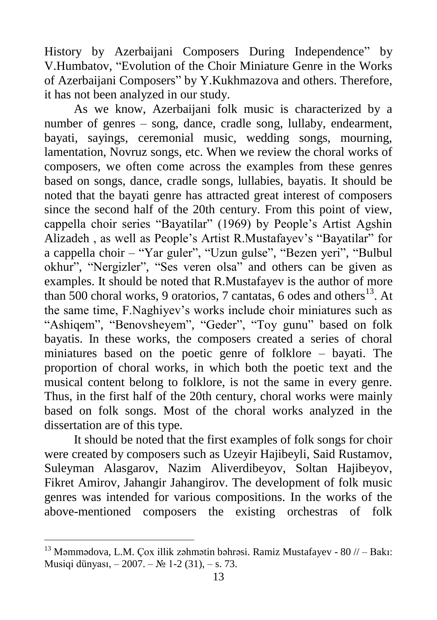History by Azerbaijani Composers During Independence" by V.Humbatov, "Evolution of the Choir Miniature Genre in the Works of Azerbaijani Composers" by Y.Kukhmazova and others. Therefore, it has not been analyzed in our study.

As we know, Azerbaijani folk music is characterized by a number of genres – song, dance, cradle song, lullaby, endearment, bayati, sayings, ceremonial music, wedding songs, mourning, lamentation, Novruz songs, etc. When we review the choral works of composers, we often come across the examples from these genres based on songs, dance, cradle songs, lullabies, bayatis. It should be noted that the bayati genre has attracted great interest of composers since the second half of the 20th century. From this point of view, cappella choir series "Bayatilar" (1969) by People's Artist Agshin Alizadeh , as well as People's Artist R.Mustafayev's "Bayatilar" for a cappella choir – "Yar guler", "Uzun gulse", "Bezen yeri", "Bulbul okhur", "Nergizler", "Ses veren olsa" and others can be given as examples. It should be noted that R.Mustafayev is the author of more than 500 choral works, 9 oratorios, 7 cantatas, 6 odes and others $^{13}$ . At the same time, F.Naghiyev's works include choir miniatures such as "Ashiqem", "Benovsheyem", "Geder", "Toy gunu" based on folk bayatis. In these works, the composers created a series of choral miniatures based on the poetic genre of folklore – bayati. The proportion of choral works, in which both the poetic text and the musical content belong to folklore, is not the same in every genre. Thus, in the first half of the 20th century, choral works were mainly based on folk songs. Most of the choral works analyzed in the dissertation are of this type.

It should be noted that the first examples of folk songs for choir were created by composers such as Uzeyir Hajibeyli, Said Rustamov, Suleyman Alasgarov, Nazim Aliverdibeyov, Soltan Hajibeyov, Fikret Amirov, Jahangir Jahangirov. The development of folk music genres was intended for various compositions. In the works of the above-mentioned composers the existing orchestras of folk

 $\overline{a}$ 

<sup>&</sup>lt;sup>13</sup> Məmmədova, L.M. Çox illik zəhmətin bəhrəsi. Ramiz Mustafayev - 80  $\pi$  – Bakı: Musiqi dünyası, – 2007. – № 1-2 (31), – s. 73.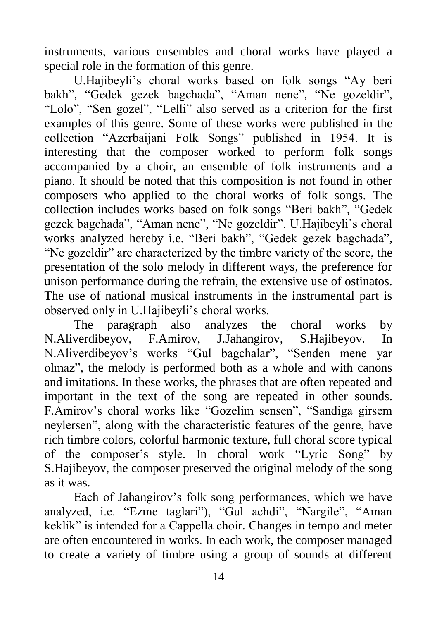instruments, various ensembles and choral works have played a special role in the formation of this genre.

U.Hajibeyli's choral works based on folk songs "Ay beri bakh", "Gedek gezek bagchada", "Aman nene", "Ne gozeldir", "Lolo", "Sen gozel", "Lelli" also served as a criterion for the first examples of this genre. Some of these works were published in the collection "Azerbaijani Folk Songs" published in 1954. It is interesting that the composer worked to perform folk songs accompanied by a choir, an ensemble of folk instruments and a piano. It should be noted that this composition is not found in other composers who applied to the choral works of folk songs. The collection includes works based on folk songs "Beri bakh", "Gedek gezek bagchada", "Aman nene", "Ne gozeldir". U.Hajibeyli's choral works analyzed hereby i.e. "Beri bakh", "Gedek gezek bagchada", "Ne gozeldir" are characterized by the timbre variety of the score, the presentation of the solo melody in different ways, the preference for unison performance during the refrain, the extensive use of ostinatos. The use of national musical instruments in the instrumental part is observed only in U.Hajibeyli's choral works.

The paragraph also analyzes the choral works by N.Aliverdibeyov, F.Amirov, J.Jahangirov, S.Hajibeyov. In N.Aliverdibeyov's works "Gul bagchalar", "Senden mene yar olmaz", the melody is performed both as a whole and with canons and imitations. In these works, the phrases that are often repeated and important in the text of the song are repeated in other sounds. F.Amirov's choral works like "Gozelim sensen", "Sandiga girsem neylersen", along with the characteristic features of the genre, have rich timbre colors, colorful harmonic texture, full choral score typical of the composer's style. In choral work "Lyric Song" by S.Hajibeyov, the composer preserved the original melody of the song as it was.

Each of Jahangirov's folk song performances, which we have analyzed, i.e. "Ezme taglari"), "Gul achdi", "Nargile", "Aman keklik" is intended for a Cappella choir. Changes in tempo and meter are often encountered in works. In each work, the composer managed to create a variety of timbre using a group of sounds at different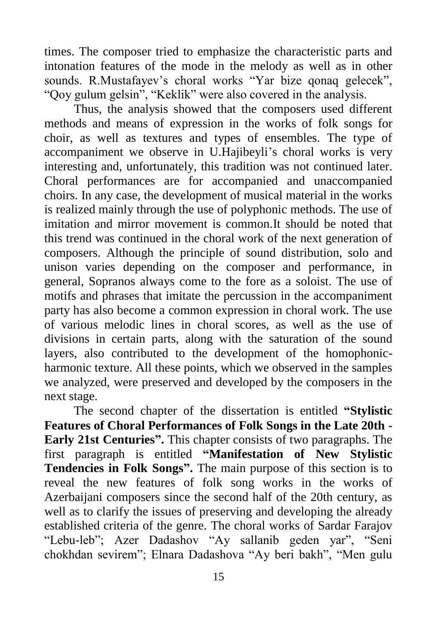times. The composer tried to emphasize the characteristic parts and intonation features of the mode in the melody as well as in other sounds. R.Mustafayev's choral works "Yar bize gonaq gelecek", "Qoy gulum gelsin", "Keklik" were also covered in the analysis.

Thus, the analysis showed that the composers used different methods and means of expression in the works of folk songs for choir, as well as textures and types of ensembles. The type of accompaniment we observe in U.Hajibeyli's choral works is very interesting and, unfortunately, this tradition was not continued later. Choral performances are for accompanied and unaccompanied choirs. In any case, the development of musical material in the works is realized mainly through the use of polyphonic methods. The use of imitation and mirror movement is common.It should be noted that this trend was continued in the choral work of the next generation of composers. Although the principle of sound distribution, solo and unison varies depending on the composer and performance, in general, Sopranos always come to the fore as a soloist. The use of motifs and phrases that imitate the percussion in the accompaniment party has also become a common expression in choral work. The use of various melodic lines in choral scores, as well as the use of divisions in certain parts, along with the saturation of the sound layers, also contributed to the development of the homophonicharmonic texture. All these points, which we observed in the samples we analyzed, were preserved and developed by the composers in the next stage.

The second chapter of the dissertation is entitled **"Stylistic Features of Choral Performances of Folk Songs in the Late 20th - Early 21st Centuries".** This chapter consists of two paragraphs. The first paragraph is entitled **"Manifestation of New Stylistic Tendencies in Folk Songs".** The main purpose of this section is to reveal the new features of folk song works in the works of Azerbaijani composers since the second half of the 20th century, as well as to clarify the issues of preserving and developing the already established criteria of the genre. The choral works of Sardar Farajov "Lebu-leb"; Azer Dadashov "Ay sallanib geden yar", "Seni chokhdan sevirem"; Elnara Dadashova "Ay beri bakh", "Men gulu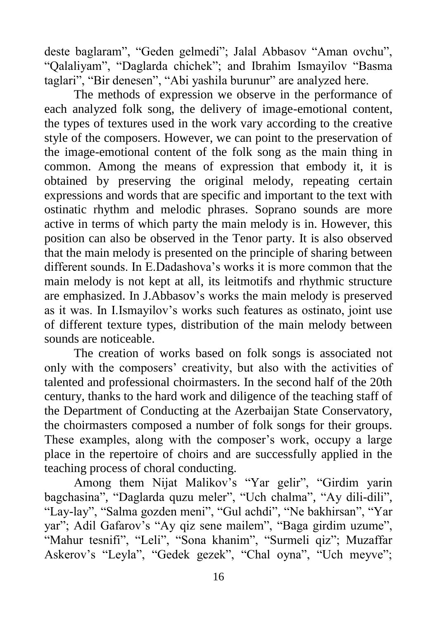deste baglaram", "Geden gelmedi"; Jalal Abbasov "Aman ovchu", "Qalaliyam", "Daglarda chichek"; and Ibrahim Ismayilov "Basma taglari", "Bir denesen", "Abi yashila burunur" are analyzed here.

The methods of expression we observe in the performance of each analyzed folk song, the delivery of image-emotional content, the types of textures used in the work vary according to the creative style of the composers. However, we can point to the preservation of the image-emotional content of the folk song as the main thing in common. Among the means of expression that embody it, it is obtained by preserving the original melody, repeating certain expressions and words that are specific and important to the text with ostinatic rhythm and melodic phrases. Soprano sounds are more active in terms of which party the main melody is in. However, this position can also be observed in the Tenor party. It is also observed that the main melody is presented on the principle of sharing between different sounds. In E.Dadashova's works it is more common that the main melody is not kept at all, its leitmotifs and rhythmic structure are emphasized. In J.Abbasov's works the main melody is preserved as it was. In I.Ismayilov's works such features as ostinato, joint use of different texture types, distribution of the main melody between sounds are noticeable.

The creation of works based on folk songs is associated not only with the composers' creativity, but also with the activities of talented and professional choirmasters. In the second half of the 20th century, thanks to the hard work and diligence of the teaching staff of the Department of Conducting at the Azerbaijan State Conservatory, the choirmasters composed a number of folk songs for their groups. These examples, along with the composer's work, occupy a large place in the repertoire of choirs and are successfully applied in the teaching process of choral conducting.

Among them Nijat Malikov's "Yar gelir", "Girdim yarin bagchasina", "Daglarda quzu meler", "Uch chalma", "Ay dili-dili", "Lay-lay", "Salma gozden meni", "Gul achdi", "Ne bakhirsan", "Yar yar"; Adil Gafarov's "Ay qiz sene mailem", "Baga girdim uzume", "Mahur tesnifi", "Leli", "Sona khanim", "Surmeli qiz"; Muzaffar Askerov's "Leyla", "Gedek gezek", "Chal oyna", "Uch meyve";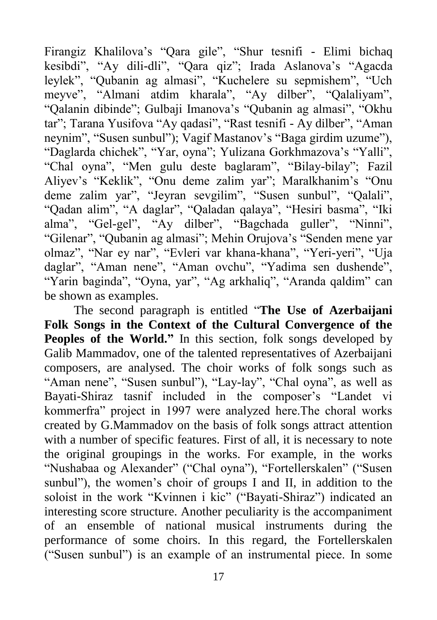Firangiz Khalilova's "Qara gile", "Shur tesnifi - Elimi bichaq kesibdi", "Ay dili-dli", "Qara qiz"; Irada Aslanova's "Agacda leylek", "Qubanin ag almasi", "Kuchelere su sepmishem", "Uch meyve", "Almani atdim kharala", "Ay dilber", "Qalaliyam", "Qalanin dibinde"; Gulbaji Imanova's "Qubanin ag almasi", "Okhu tar"; Tarana Yusifova "Ay qadasi", "Rast tesnifi - Ay dilber", "Aman neynim", "Susen sunbul"); Vagif Mastanov's "Baga girdim uzume"), "Daglarda chichek", "Yar, oyna"; Yulizana Gorkhmazova's "Yalli", "Chal oyna", "Men gulu deste baglaram", "Bilay-bilay"; Fazil Aliyev's "Keklik", "Onu deme zalim yar"; Maralkhanim's "Onu deme zalim yar", "Jeyran sevgilim", "Susen sunbul", "Qalali", "Qadan alim", "A daglar", "Qaladan qalaya", "Hesiri basma", "Iki alma", "Gel-gel", "Ay dilber", "Bagchada guller", "Ninni", "Gilenar", "Qubanin ag almasi"; Mehin Orujova's "Senden mene yar olmaz", "Nar ey nar", "Evleri var khana-khana", "Yeri-yeri", "Uja daglar", "Aman nene", "Aman ovchu", "Yadima sen dushende", "Yarin baginda", "Oyna, yar", "Ag arkhaliq", "Aranda qaldim" can be shown as examples.

The second paragraph is entitled "**The Use of Azerbaijani Folk Songs in the Context of the Cultural Convergence of the Peoples of the World."** In this section, folk songs developed by Galib Mammadov, one of the talented representatives of Azerbaijani composers, are analysed. The choir works of folk songs such as "Aman nene", "Susen sunbul"), "Lay-lay", "Chal oyna", as well as Bayati-Shiraz tasnif included in the composer's "Landet vi kommerfra" project in 1997 were analyzed here.The choral works created by G.Mammadov on the basis of folk songs attract attention with a number of specific features. First of all, it is necessary to note the original groupings in the works. For example, in the works "Nushabaa og Alexander" ("Chal oyna"), "Fortellerskalen" ("Susen sunbul"), the women's choir of groups I and II, in addition to the soloist in the work "Kvinnen i kic" ("Bayati-Shiraz") indicated an interesting score structure. Another peculiarity is the accompaniment of an ensemble of national musical instruments during the performance of some choirs. In this regard, the Fortellerskalen ("Susen sunbul") is an example of an instrumental piece. In some

17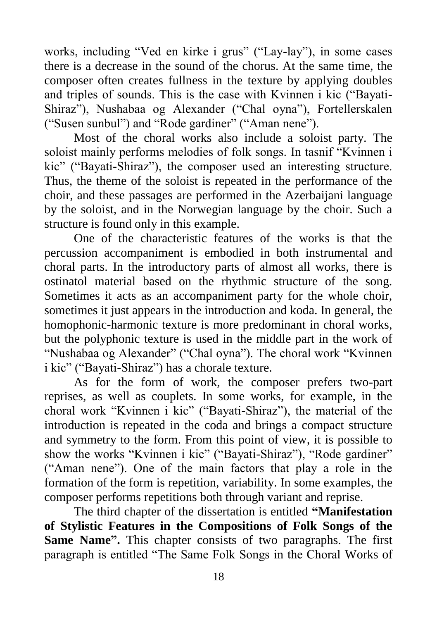works, including "Ved en kirke i grus" ("Lay-lay"), in some cases there is a decrease in the sound of the chorus. At the same time, the composer often creates fullness in the texture by applying doubles and triples of sounds. This is the case with Kvinnen i kic ("Bayati-Shiraz"), Nushabaa og Alexander ("Chal oyna"), Fortellerskalen ("Susen sunbul") and "Rode gardiner" ("Aman nene").

Most of the choral works also include a soloist party. The soloist mainly performs melodies of folk songs. In tasnif "Kvinnen i kic" ("Bayati-Shiraz"), the composer used an interesting structure. Thus, the theme of the soloist is repeated in the performance of the choir, and these passages are performed in the Azerbaijani language by the soloist, and in the Norwegian language by the choir. Such a structure is found only in this example.

One of the characteristic features of the works is that the percussion accompaniment is embodied in both instrumental and choral parts. In the introductory parts of almost all works, there is ostinatol material based on the rhythmic structure of the song. Sometimes it acts as an accompaniment party for the whole choir, sometimes it just appears in the introduction and koda. In general, the homophonic-harmonic texture is more predominant in choral works, but the polyphonic texture is used in the middle part in the work of "Nushabaa og Alexander" ("Chal oyna"). The choral work "Kvinnen i kic" ("Bayati-Shiraz") has a chorale texture.

As for the form of work, the composer prefers two-part reprises, as well as couplets. In some works, for example, in the choral work "Kvinnen i kic" ("Bayati-Shiraz"), the material of the introduction is repeated in the coda and brings a compact structure and symmetry to the form. From this point of view, it is possible to show the works "Kvinnen i kic" ("Bayati-Shiraz"), "Rode gardiner" ("Aman nene"). One of the main factors that play a role in the formation of the form is repetition, variability. In some examples, the composer performs repetitions both through variant and reprise.

The third chapter of the dissertation is entitled **"Manifestation of Stylistic Features in the Compositions of Folk Songs of the Same Name".** This chapter consists of two paragraphs. The first paragraph is entitled "The Same Folk Songs in the Choral Works of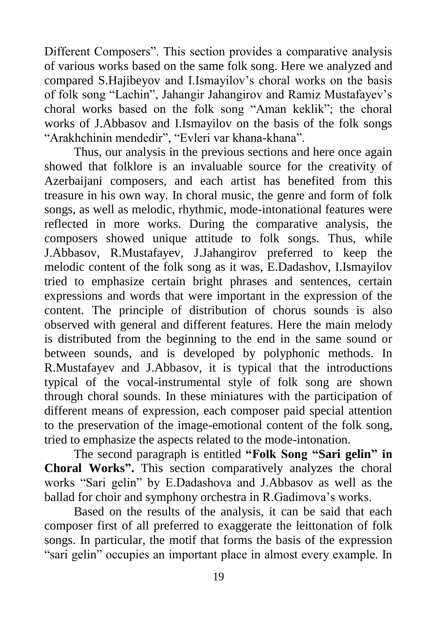Different Composers". This section provides a comparative analysis of various works based on the same folk song. Here we analyzed and compared S.Hajibeyov and I.Ismayilov's choral works on the basis of folk song "Lachin", Jahangir Jahangirov and Ramiz Mustafayev's choral works based on the folk song "Aman keklik"; the choral works of J.Abbasov and I.Ismayilov on the basis of the folk songs "Arakhchinin mendedir", "Evleri var khana-khana".

Thus, our analysis in the previous sections and here once again showed that folklore is an invaluable source for the creativity of Azerbaijani composers, and each artist has benefited from this treasure in his own way. In choral music, the genre and form of folk songs, as well as melodic, rhythmic, mode-intonational features were reflected in more works. During the comparative analysis, the composers showed unique attitude to folk songs. Thus, while J.Abbasov, R.Mustafayev, J.Jahangirov preferred to keep the melodic content of the folk song as it was, E.Dadashov, I.Ismayilov tried to emphasize certain bright phrases and sentences, certain expressions and words that were important in the expression of the content. The principle of distribution of chorus sounds is also observed with general and different features. Here the main melody is distributed from the beginning to the end in the same sound or between sounds, and is developed by polyphonic methods. In R.Mustafayev and J.Abbasov, it is typical that the introductions typical of the vocal-instrumental style of folk song are shown through choral sounds. In these miniatures with the participation of different means of expression, each composer paid special attention to the preservation of the image-emotional content of the folk song, tried to emphasize the aspects related to the mode-intonation.

The second paragraph is entitled **"Folk Song "Sari gelin" in Choral Works".** This section comparatively analyzes the choral works "Sari gelin" by E.Dadashova and J.Abbasov as well as the ballad for choir and symphony orchestra in R.Gadimova's works.

Based on the results of the analysis, it can be said that each composer first of all preferred to exaggerate the leittonation of folk songs. In particular, the motif that forms the basis of the expression "sari gelin" occupies an important place in almost every example. In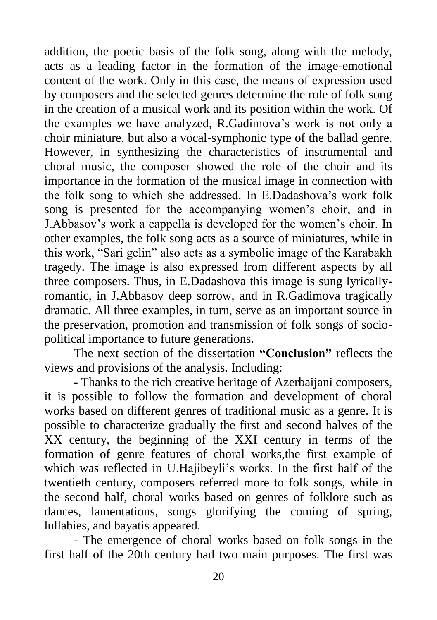addition, the poetic basis of the folk song, along with the melody, acts as a leading factor in the formation of the image-emotional content of the work. Only in this case, the means of expression used by composers and the selected genres determine the role of folk song in the creation of a musical work and its position within the work. Of the examples we have analyzed, R.Gadimova's work is not only a choir miniature, but also a vocal-symphonic type of the ballad genre. However, in synthesizing the characteristics of instrumental and choral music, the composer showed the role of the choir and its importance in the formation of the musical image in connection with the folk song to which she addressed. In E.Dadashova's work folk song is presented for the accompanying women's choir, and in J.Abbasov's work a cappella is developed for the women's choir. In other examples, the folk song acts as a source of miniatures, while in this work, "Sari gelin" also acts as a symbolic image of the Karabakh tragedy. The image is also expressed from different aspects by all three composers. Thus, in E.Dadashova this image is sung lyricallyromantic, in J.Abbasov deep sorrow, and in R.Gadimova tragically dramatic. All three examples, in turn, serve as an important source in the preservation, promotion and transmission of folk songs of sociopolitical importance to future generations.

The next section of the dissertation **"Conclusion"** reflects the views and provisions of the analysis. Including:

- Thanks to the rich creative heritage of Azerbaijani composers, it is possible to follow the formation and development of choral works based on different genres of traditional music as a genre. It is possible to characterize gradually the first and second halves of the XX century, the beginning of the XXI century in terms of the formation of genre features of choral works,the first example of which was reflected in U.Hajibeyli's works. In the first half of the twentieth century, composers referred more to folk songs, while in the second half, choral works based on genres of folklore such as dances, lamentations, songs glorifying the coming of spring, lullabies, and bayatis appeared.

- The emergence of choral works based on folk songs in the first half of the 20th century had two main purposes. The first was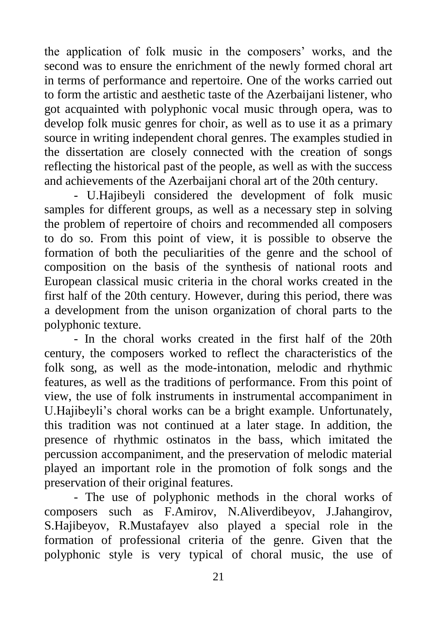the application of folk music in the composers' works, and the second was to ensure the enrichment of the newly formed choral art in terms of performance and repertoire. One of the works carried out to form the artistic and aesthetic taste of the Azerbaijani listener, who got acquainted with polyphonic vocal music through opera, was to develop folk music genres for choir, as well as to use it as a primary source in writing independent choral genres. The examples studied in the dissertation are closely connected with the creation of songs reflecting the historical past of the people, as well as with the success and achievements of the Azerbaijani choral art of the 20th century.

- U.Hajibeyli considered the development of folk music samples for different groups, as well as a necessary step in solving the problem of repertoire of choirs and recommended all composers to do so. From this point of view, it is possible to observe the formation of both the peculiarities of the genre and the school of composition on the basis of the synthesis of national roots and European classical music criteria in the choral works created in the first half of the 20th century. However, during this period, there was a development from the unison organization of choral parts to the polyphonic texture.

- In the choral works created in the first half of the 20th century, the composers worked to reflect the characteristics of the folk song, as well as the mode-intonation, melodic and rhythmic features, as well as the traditions of performance. From this point of view, the use of folk instruments in instrumental accompaniment in U.Hajibeyli's choral works can be a bright example. Unfortunately, this tradition was not continued at a later stage. In addition, the presence of rhythmic ostinatos in the bass, which imitated the percussion accompaniment, and the preservation of melodic material played an important role in the promotion of folk songs and the preservation of their original features.

- The use of polyphonic methods in the choral works of composers such as F.Amirov, N.Aliverdibeyov, J.Jahangirov, S.Hajibeyov, R.Mustafayev also played a special role in the formation of professional criteria of the genre. Given that the polyphonic style is very typical of choral music, the use of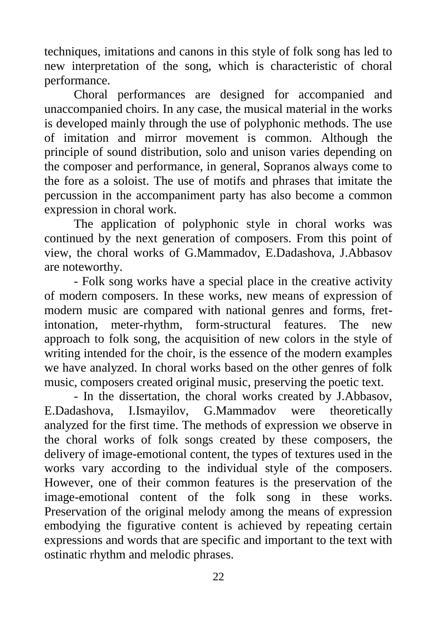techniques, imitations and canons in this style of folk song has led to new interpretation of the song, which is characteristic of choral performance.

Choral performances are designed for accompanied and unaccompanied choirs. In any case, the musical material in the works is developed mainly through the use of polyphonic methods. The use of imitation and mirror movement is common. Although the principle of sound distribution, solo and unison varies depending on the composer and performance, in general, Sopranos always come to the fore as a soloist. The use of motifs and phrases that imitate the percussion in the accompaniment party has also become a common expression in choral work.

The application of polyphonic style in choral works was continued by the next generation of composers. From this point of view, the choral works of G.Mammadov, E.Dadashova, J.Abbasov are noteworthy.

- Folk song works have a special place in the creative activity of modern composers. In these works, new means of expression of modern music are compared with national genres and forms, fretintonation, meter-rhythm, form-structural features. The new approach to folk song, the acquisition of new colors in the style of writing intended for the choir, is the essence of the modern examples we have analyzed. In choral works based on the other genres of folk music, composers created original music, preserving the poetic text.

- In the dissertation, the choral works created by J.Abbasov, E.Dadashova, I.Ismayilov, G.Mammadov were theoretically analyzed for the first time. The methods of expression we observe in the choral works of folk songs created by these composers, the delivery of image-emotional content, the types of textures used in the works vary according to the individual style of the composers. However, one of their common features is the preservation of the image-emotional content of the folk song in these works. Preservation of the original melody among the means of expression embodying the figurative content is achieved by repeating certain expressions and words that are specific and important to the text with ostinatic rhythm and melodic phrases.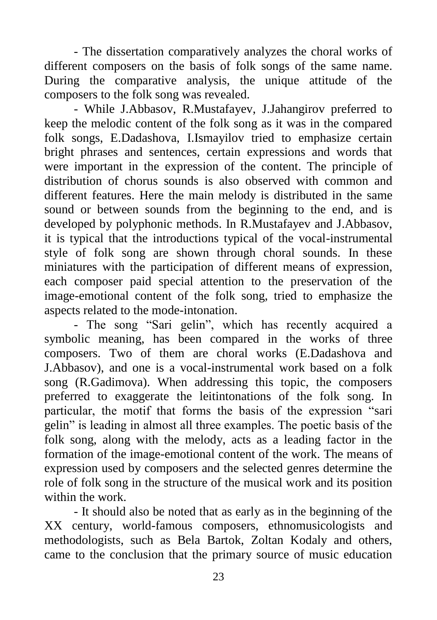- The dissertation comparatively analyzes the choral works of different composers on the basis of folk songs of the same name. During the comparative analysis, the unique attitude of the composers to the folk song was revealed.

- While J.Abbasov, R.Mustafayev, J.Jahangirov preferred to keep the melodic content of the folk song as it was in the compared folk songs, E.Dadashova, I.Ismayilov tried to emphasize certain bright phrases and sentences, certain expressions and words that were important in the expression of the content. The principle of distribution of chorus sounds is also observed with common and different features. Here the main melody is distributed in the same sound or between sounds from the beginning to the end, and is developed by polyphonic methods. In R.Mustafayev and J.Abbasov, it is typical that the introductions typical of the vocal-instrumental style of folk song are shown through choral sounds. In these miniatures with the participation of different means of expression, each composer paid special attention to the preservation of the image-emotional content of the folk song, tried to emphasize the aspects related to the mode-intonation.

- The song "Sari gelin", which has recently acquired a symbolic meaning, has been compared in the works of three composers. Two of them are choral works (E.Dadashova and J.Abbasov), and one is a vocal-instrumental work based on a folk song (R.Gadimova). When addressing this topic, the composers preferred to exaggerate the leitintonations of the folk song. In particular, the motif that forms the basis of the expression "sari gelin" is leading in almost all three examples. The poetic basis of the folk song, along with the melody, acts as a leading factor in the formation of the image-emotional content of the work. The means of expression used by composers and the selected genres determine the role of folk song in the structure of the musical work and its position within the work.

- It should also be noted that as early as in the beginning of the XX century, world-famous composers, ethnomusicologists and methodologists, such as Bela Bartok, Zoltan Kodaly and others, came to the conclusion that the primary source of music education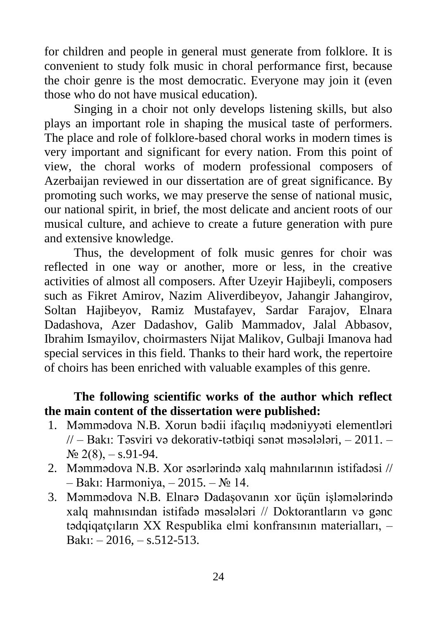for children and people in general must generate from folklore. It is convenient to study folk music in choral performance first, because the choir genre is the most democratic. Everyone may join it (even those who do not have musical education).

Singing in a choir not only develops listening skills, but also plays an important role in shaping the musical taste of performers. The place and role of folklore-based choral works in modern times is very important and significant for every nation. From this point of view, the choral works of modern professional composers of Azerbaijan reviewed in our dissertation are of great significance. By promoting such works, we may preserve the sense of national music, our national spirit, in brief, the most delicate and ancient roots of our musical culture, and achieve to create a future generation with pure and extensive knowledge.

Thus, the development of folk music genres for choir was reflected in one way or another, more or less, in the creative activities of almost all composers. After Uzeyir Hajibeyli, composers such as Fikret Amirov, Nazim Aliverdibeyov, Jahangir Jahangirov, Soltan Hajibeyov, Ramiz Mustafayev, Sardar Farajov, Elnara Dadashova, Azer Dadashov, Galib Mammadov, Jalal Abbasov, Ibrahim Ismayilov, choirmasters Nijat Malikov, Gulbaji Imanova had special services in this field. Thanks to their hard work, the repertoire of choirs has been enriched with valuable examples of this genre.

### **The following scientific works of the author which reflect the main content of the dissertation were published:**

- 1. Məmmədova N.B. Xorun bədii ifaçılıq mədəniyyəti elementləri  $\pi$  – Bakı: Təsviri və dekorativ-tətbiqi sənət məsələləri,  $-2011$ .  $N_2$  2(8),  $-$  s.91-94.
- 2. Məmmədova N.B. Xor əsərlərində xalq mahnılarının istifadəsi // – Bakı: Harmoniya, – 2015. – № 14.
- 3. Məmmədova N.B. Elnarə Dadaşovanın xor üçün işləmələrində xalq mahnısından istifadə məsələləri // Doktorantların və gənc tədqiqatçıların XX Respublika elmi konfransının materialları, – Bakı:  $-2016$ ,  $-$  s.512-513.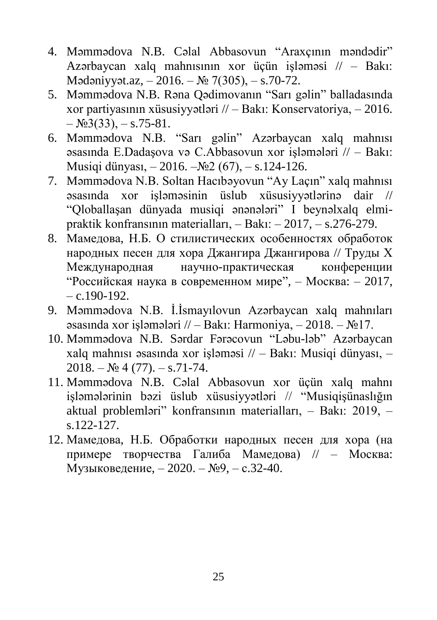- 4. Məmmədova N.B. Cəlal Abbasovun "Araxçının məndədir" Azərbaycan xalq mahnısının xor üçün işləməsi // – Bakı: Mədəniyyət.az, – 2016. – № 7(305), – s.70-72.
- 5. Məmmədova N.B. Rəna Qədimovanın "Sarı gəlin" balladasında xor partiyasının xüsusiyyətləri // – Bakı: Konservatoriya, – 2016.  $-$  N<sub>2</sub>3(33),  $-$  s.75-81.
- 6. Məmmədova N.B. "Sarı gəlin" Azərbaycan xalq mahnısı əsasında E.Dadaşova və C.Abbasovun xor işləmələri // – Bakı: Musiqi dünyası, – 2016. –№2 (67), – s.124-126.
- 7. Məmmədova N.B. Soltan Hacıbəyovun "Ay Laçın" xalq mahnısı əsasında xor işləməsinin üslub xüsusiyyətlərinə dair // "Qloballaşan dünyada musiqi ənənələri" I beynəlxalq elmipraktik konfransının materialları, – Bakı: – 2017, – s.276-279.
- 8. Мамедова, Н.Б. О стилистических особенностях обработок народных песен для хора Джангира Джангирова // Труды Х Международная научно-практическая конференции "Российская наука в современном мире", – Москва: – 2017,  $- c.190 - 192.$
- 9. Məmmədova N.B. İ.İsmayılovun Azərbaycan xalq mahnıları əsasında xor işləmələri // – Bakı: Harmoniya, – 2018. –  $\mathbb{N}^2$ 17.
- 10. Məmmədova N.B. Sərdar Fərəcovun "Ləbu-ləb" Azərbaycan xalq mahnısı əsasında xor işləməsi // – Bakı: Musiqi dünyası, –  $2018. - N<sub>2</sub>4(77)$ . – s.71-74.
- 11. Məmmədova N.B. Cəlal Abbasovun xor üçün xalq mahnı işləmələrinin bəzi üslub xüsusiyyətləri // "Musiqişünaslığın aktual problemləri" konfransının materialları, – Bakı: 2019, – s.122-127.
- 12. Мамедова, Н.Б. Обработки народных песен для хора (на примере творчества Галиба Мамедова) // – Москва: Музыковедение, – 2020. – №9, – с.32-40.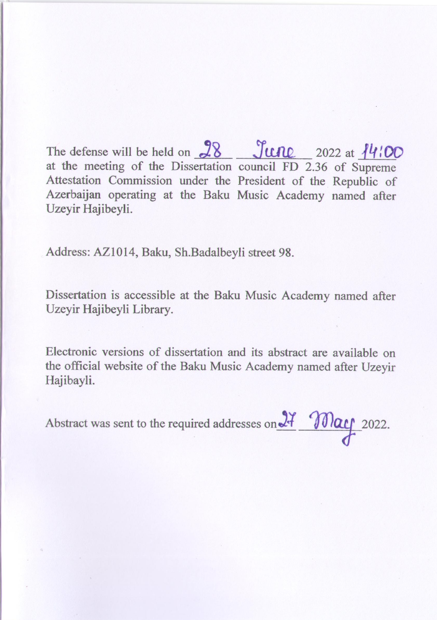The defense will be held on  $28$   $\frac{\text{True}}{\text{True}}$  2022 at  $\frac{14}{100}$ at the meeting of the Dissertation council FD 2.36 of Supreme Attestation Commission under the President of the Republic of Azerbaijan operating at the Baku Music Academy named after Uzeyir Hajibeyli.

Address: AZ1014, Baku, Sh.Badalbeyli street 98.

Dissertation is accessible at the Baku Music Academy named after Uzeyir Hajibeyli Library.

Electronic versions of dissertation and its abstract are available on the official website of the Baku Music Academy named after Uzeyir Hajibayli.

Abstract was sent to the required addresses on 27 May 2022.